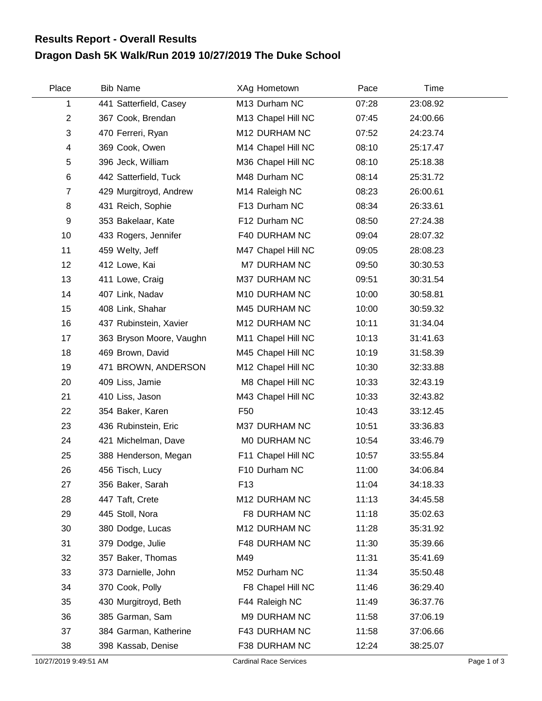## **Dragon Dash 5K Walk/Run 2019 10/27/2019 The Duke School Results Report - Overall Results**

| Place                 | <b>Bib Name</b>          | XAg Hometown                  | Pace  | Time     |             |
|-----------------------|--------------------------|-------------------------------|-------|----------|-------------|
| 1                     | 441 Satterfield, Casey   | M13 Durham NC                 | 07:28 | 23:08.92 |             |
| $\overline{2}$        | 367 Cook, Brendan        | M13 Chapel Hill NC            | 07:45 | 24:00.66 |             |
| 3                     | 470 Ferreri, Ryan        | M12 DURHAM NC                 | 07:52 | 24:23.74 |             |
| 4                     | 369 Cook, Owen           | M14 Chapel Hill NC            | 08:10 | 25:17.47 |             |
| 5                     | 396 Jeck, William        | M36 Chapel Hill NC            | 08:10 | 25:18.38 |             |
| $\,6$                 | 442 Satterfield, Tuck    | M48 Durham NC                 | 08:14 | 25:31.72 |             |
| $\overline{7}$        | 429 Murgitroyd, Andrew   | M14 Raleigh NC                | 08:23 | 26:00.61 |             |
| 8                     | 431 Reich, Sophie        | F13 Durham NC                 | 08:34 | 26:33.61 |             |
| 9                     | 353 Bakelaar, Kate       | F12 Durham NC                 | 08:50 | 27:24.38 |             |
| 10                    | 433 Rogers, Jennifer     | F40 DURHAM NC                 | 09:04 | 28:07.32 |             |
| 11                    | 459 Welty, Jeff          | M47 Chapel Hill NC            | 09:05 | 28:08.23 |             |
| 12                    | 412 Lowe, Kai            | M7 DURHAM NC                  | 09:50 | 30:30.53 |             |
| 13                    | 411 Lowe, Craig          | M37 DURHAM NC                 | 09:51 | 30:31.54 |             |
| 14                    | 407 Link, Nadav          | M10 DURHAM NC                 | 10:00 | 30:58.81 |             |
| 15                    | 408 Link, Shahar         | M45 DURHAM NC                 | 10:00 | 30:59.32 |             |
| 16                    | 437 Rubinstein, Xavier   | M12 DURHAM NC                 | 10:11 | 31:34.04 |             |
| 17                    | 363 Bryson Moore, Vaughn | M11 Chapel Hill NC            | 10:13 | 31:41.63 |             |
| 18                    | 469 Brown, David         | M45 Chapel Hill NC            | 10:19 | 31:58.39 |             |
| 19                    | 471 BROWN, ANDERSON      | M12 Chapel Hill NC            | 10:30 | 32:33.88 |             |
| 20                    | 409 Liss, Jamie          | M8 Chapel Hill NC             | 10:33 | 32:43.19 |             |
| 21                    | 410 Liss, Jason          | M43 Chapel Hill NC            | 10:33 | 32:43.82 |             |
| 22                    | 354 Baker, Karen         | F <sub>50</sub>               | 10:43 | 33:12.45 |             |
| 23                    | 436 Rubinstein, Eric     | M37 DURHAM NC                 | 10:51 | 33:36.83 |             |
| 24                    | 421 Michelman, Dave      | MO DURHAM NC                  | 10:54 | 33:46.79 |             |
| 25                    | 388 Henderson, Megan     | F11 Chapel Hill NC            | 10:57 | 33:55.84 |             |
| 26                    | 456 Tisch, Lucy          | F10 Durham NC                 | 11:00 | 34:06.84 |             |
| 27                    | 356 Baker, Sarah         | F <sub>13</sub>               | 11:04 | 34:18.33 |             |
| 28                    | 447 Taft, Crete          | M12 DURHAM NC                 | 11:13 | 34:45.58 |             |
| 29                    | 445 Stoll, Nora          | F8 DURHAM NC                  | 11:18 | 35:02.63 |             |
| 30                    | 380 Dodge, Lucas         | M12 DURHAM NC                 | 11:28 | 35:31.92 |             |
| 31                    | 379 Dodge, Julie         | F48 DURHAM NC                 | 11:30 | 35:39.66 |             |
| 32                    | 357 Baker, Thomas        | M49                           | 11:31 | 35:41.69 |             |
| 33                    | 373 Darnielle, John      | M52 Durham NC                 | 11:34 | 35:50.48 |             |
| 34                    | 370 Cook, Polly          | F8 Chapel Hill NC             | 11:46 | 36:29.40 |             |
| 35                    | 430 Murgitroyd, Beth     | F44 Raleigh NC                | 11:49 | 36:37.76 |             |
| 36                    | 385 Garman, Sam          | M9 DURHAM NC                  | 11:58 | 37:06.19 |             |
| 37                    | 384 Garman, Katherine    | F43 DURHAM NC                 | 11:58 | 37:06.66 |             |
| 38                    | 398 Kassab, Denise       | F38 DURHAM NC                 | 12:24 | 38:25.07 |             |
| 10/27/2019 9:49:51 AM |                          | <b>Cardinal Race Services</b> |       |          | Page 1 of 3 |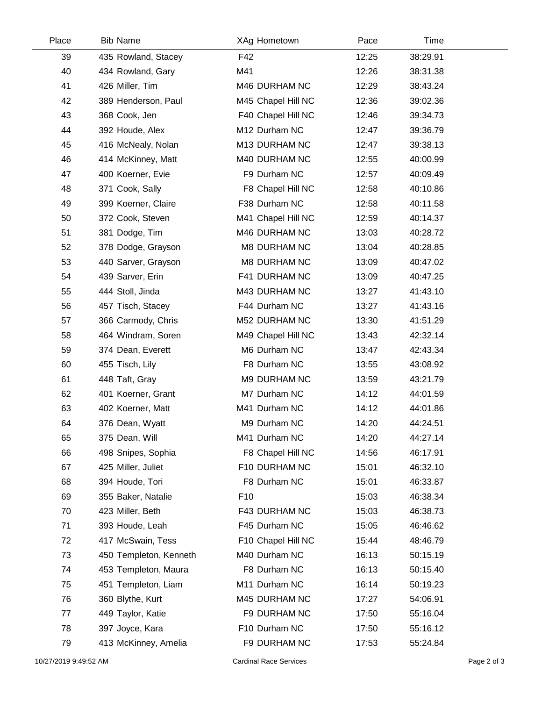| Place | <b>Bib Name</b>        | XAg Hometown       | Pace  | Time     |  |
|-------|------------------------|--------------------|-------|----------|--|
| 39    | 435 Rowland, Stacey    | F42                | 12:25 | 38:29.91 |  |
| 40    | 434 Rowland, Gary      | M41                | 12:26 | 38:31.38 |  |
| 41    | 426 Miller, Tim        | M46 DURHAM NC      | 12:29 | 38:43.24 |  |
| 42    | 389 Henderson, Paul    | M45 Chapel Hill NC | 12:36 | 39:02.36 |  |
| 43    | 368 Cook, Jen          | F40 Chapel Hill NC | 12:46 | 39:34.73 |  |
| 44    | 392 Houde, Alex        | M12 Durham NC      | 12:47 | 39:36.79 |  |
| 45    | 416 McNealy, Nolan     | M13 DURHAM NC      | 12:47 | 39:38.13 |  |
| 46    | 414 McKinney, Matt     | M40 DURHAM NC      | 12:55 | 40:00.99 |  |
| 47    | 400 Koerner, Evie      | F9 Durham NC       | 12:57 | 40:09.49 |  |
| 48    | 371 Cook, Sally        | F8 Chapel Hill NC  | 12:58 | 40:10.86 |  |
| 49    | 399 Koerner, Claire    | F38 Durham NC      | 12:58 | 40:11.58 |  |
| 50    | 372 Cook, Steven       | M41 Chapel Hill NC | 12:59 | 40:14.37 |  |
| 51    | 381 Dodge, Tim         | M46 DURHAM NC      | 13:03 | 40:28.72 |  |
| 52    | 378 Dodge, Grayson     | M8 DURHAM NC       | 13:04 | 40:28.85 |  |
| 53    | 440 Sarver, Grayson    | M8 DURHAM NC       | 13:09 | 40:47.02 |  |
| 54    | 439 Sarver, Erin       | F41 DURHAM NC      | 13:09 | 40:47.25 |  |
| 55    | 444 Stoll, Jinda       | M43 DURHAM NC      | 13:27 | 41:43.10 |  |
| 56    | 457 Tisch, Stacey      | F44 Durham NC      | 13:27 | 41:43.16 |  |
| 57    | 366 Carmody, Chris     | M52 DURHAM NC      | 13:30 | 41:51.29 |  |
| 58    | 464 Windram, Soren     | M49 Chapel Hill NC | 13:43 | 42:32.14 |  |
| 59    | 374 Dean, Everett      | M6 Durham NC       | 13:47 | 42:43.34 |  |
| 60    | 455 Tisch, Lily        | F8 Durham NC       | 13:55 | 43:08.92 |  |
| 61    | 448 Taft, Gray         | M9 DURHAM NC       | 13:59 | 43:21.79 |  |
| 62    | 401 Koerner, Grant     | M7 Durham NC       | 14:12 | 44:01.59 |  |
| 63    | 402 Koerner, Matt      | M41 Durham NC      | 14:12 | 44:01.86 |  |
| 64    | 376 Dean, Wyatt        | M9 Durham NC       | 14:20 | 44:24.51 |  |
| 65    | 375 Dean, Will         | M41 Durham NC      | 14:20 | 44:27.14 |  |
| 66    | 498 Snipes, Sophia     | F8 Chapel Hill NC  | 14:56 | 46:17.91 |  |
| 67    | 425 Miller, Juliet     | F10 DURHAM NC      | 15:01 | 46:32.10 |  |
| 68    | 394 Houde, Tori        | F8 Durham NC       | 15:01 | 46:33.87 |  |
| 69    | 355 Baker, Natalie     | F <sub>10</sub>    | 15:03 | 46:38.34 |  |
| 70    | 423 Miller, Beth       | F43 DURHAM NC      | 15:03 | 46:38.73 |  |
| 71    | 393 Houde, Leah        | F45 Durham NC      | 15:05 | 46:46.62 |  |
| 72    | 417 McSwain, Tess      | F10 Chapel Hill NC | 15:44 | 48:46.79 |  |
| 73    | 450 Templeton, Kenneth | M40 Durham NC      | 16:13 | 50:15.19 |  |
| 74    | 453 Templeton, Maura   | F8 Durham NC       | 16:13 | 50:15.40 |  |
| 75    | 451 Templeton, Liam    | M11 Durham NC      | 16:14 | 50:19.23 |  |
| 76    | 360 Blythe, Kurt       | M45 DURHAM NC      | 17:27 | 54:06.91 |  |
| 77    | 449 Taylor, Katie      | F9 DURHAM NC       | 17:50 | 55:16.04 |  |
| 78    | 397 Joyce, Kara        | F10 Durham NC      | 17:50 | 55:16.12 |  |
| 79    | 413 McKinney, Amelia   | F9 DURHAM NC       | 17:53 | 55:24.84 |  |